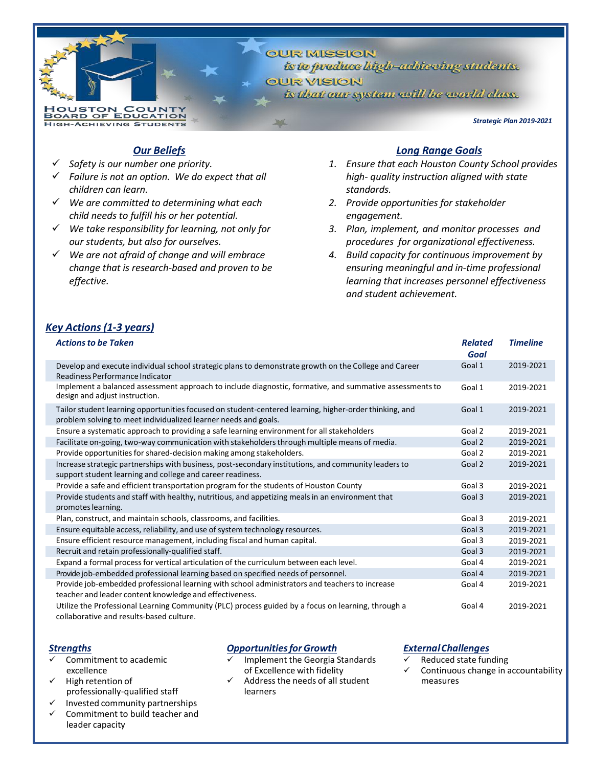**OUR MISSION** is to produce bigh-achieving students. **QUR VISION** is that our system will be world class.

*Strategic Plan 2019-2021*

## *Our Beliefs*

✓ *Safety is our number one priority.*

**HOUSTON COUNTY<br>BOARD OF EDUCATION HIGH-ACHIEVING STUDENTS** 

- ✓ *Failure is not an option. We do expect that all children can learn.*
- ✓ *We are committed to determining what each child needs to fulfill his or her potential.*
- ✓ *We take responsibility for learning, not only for our students, but also for ourselves.*
- ✓ *We are not afraid of change and will embrace change that is research-based and proven to be effective.*

### *Long Range Goals*

- *1. Ensure that each Houston County School provides high- quality instruction aligned with state standards.*
- *2. Provide opportunities for stakeholder engagement.*
- *3. Plan, implement, and monitor processes and procedures for organizational effectiveness.*
- *4. Build capacity for continuous improvement by ensuring meaningful and in-time professional learning that increases personnel effectiveness and student achievement.*

# *Key Actions(1-3 years)*

| <b>Actions to be Taken</b>                                                                                                                                                | <b>Related</b><br>Goal | <b>Timeline</b> |
|---------------------------------------------------------------------------------------------------------------------------------------------------------------------------|------------------------|-----------------|
| Develop and execute individual school strategic plans to demonstrate growth on the College and Career<br>Readiness Performance Indicator                                  | Goal 1                 | 2019-2021       |
| Implement a balanced assessment approach to include diagnostic, formative, and summative assessments to<br>design and adjust instruction.                                 | Goal 1                 | 2019-2021       |
| Tailor student learning opportunities focused on student-centered learning, higher-order thinking, and<br>problem solving to meet individualized learner needs and goals. | Goal 1                 | 2019-2021       |
| Ensure a systematic approach to providing a safe learning environment for all stakeholders                                                                                | Goal 2                 | 2019-2021       |
| Facilitate on-going, two-way communication with stakeholders through multiple means of media.                                                                             | Goal 2                 | 2019-2021       |
| Provide opportunities for shared-decision making among stakeholders.                                                                                                      | Goal 2                 | 2019-2021       |
| Increase strategic partnerships with business, post-secondary institutions, and community leaders to<br>support student learning and college and career readiness.        | Goal 2                 | 2019-2021       |
| Provide a safe and efficient transportation program for the students of Houston County                                                                                    | Goal 3                 | 2019-2021       |
| Provide students and staff with healthy, nutritious, and appetizing meals in an environment that<br>promotes learning.                                                    | Goal 3                 | 2019-2021       |
| Plan, construct, and maintain schools, classrooms, and facilities.                                                                                                        | Goal 3                 | 2019-2021       |
| Ensure equitable access, reliability, and use of system technology resources.                                                                                             | Goal 3                 | 2019-2021       |
| Ensure efficient resource management, including fiscal and human capital.                                                                                                 | Goal 3                 | 2019-2021       |
| Recruit and retain professionally-qualified staff.                                                                                                                        | Goal 3                 | 2019-2021       |
| Expand a formal process for vertical articulation of the curriculum between each level.                                                                                   | Goal 4                 | 2019-2021       |
| Provide job-embedded professional learning based on specified needs of personnel.                                                                                         | Goal 4                 | 2019-2021       |
| Provide job-embedded professional learning with school administrators and teachers to increase<br>teacher and leader content knowledge and effectiveness.                 | Goal 4                 | 2019-2021       |
| Utilize the Professional Learning Community (PLC) process guided by a focus on learning, through a<br>collaborative and results-based culture.                            | Goal 4                 | 2019-2021       |

### *Strengths*

- Commitment to academic excellence
- High retention of professionally-qualified staff
- ✓ Invested community partnerships
- Commitment to build teacher and leader capacity

### *Opportunitiesfor Growth*

- Implement the Georgia Standards of Excellence with fidelity
- Address the needs of all student learners

#### *ExternalChallenges*

- Reduced state funding
- Continuous change in accountability measures